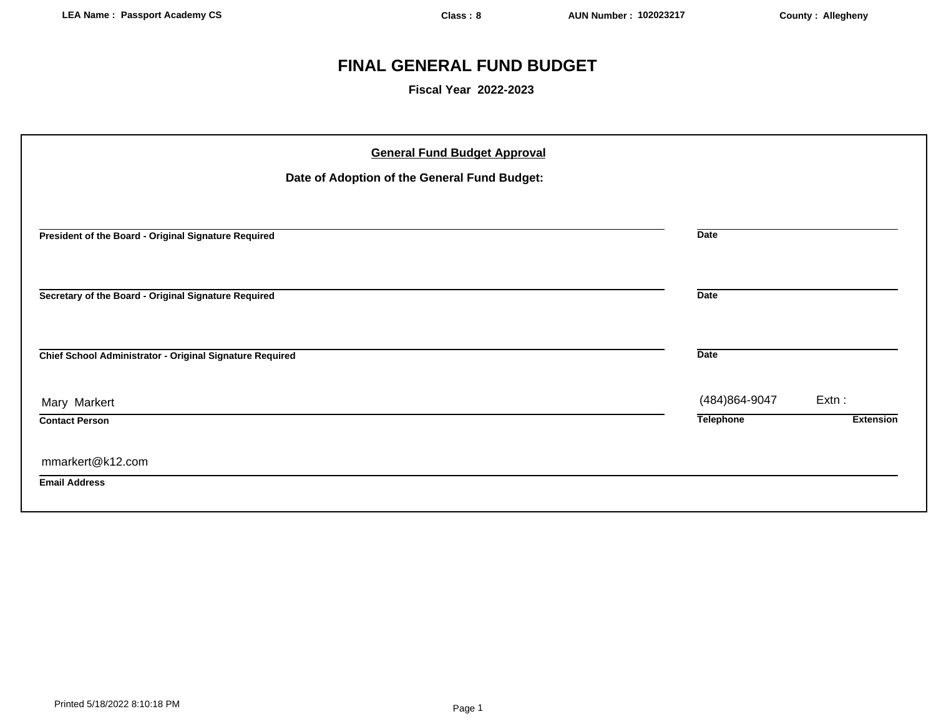# **FINAL GENERAL FUND BUDGET**

**Fiscal Year 2022-2023**

| <b>General Fund Budget Approval</b><br>Date of Adoption of the General Fund Budget: |                  |                  |
|-------------------------------------------------------------------------------------|------------------|------------------|
| President of the Board - Original Signature Required                                | <b>Date</b>      |                  |
| Secretary of the Board - Original Signature Required                                | <b>Date</b>      |                  |
| Chief School Administrator - Original Signature Required                            | <b>Date</b>      |                  |
| Mary Markert                                                                        | (484) 864-9047   | $Extn$ :         |
| <b>Contact Person</b>                                                               | <b>Telephone</b> | <b>Extension</b> |
| mmarkert@k12.com                                                                    |                  |                  |
| <b>Email Address</b>                                                                |                  |                  |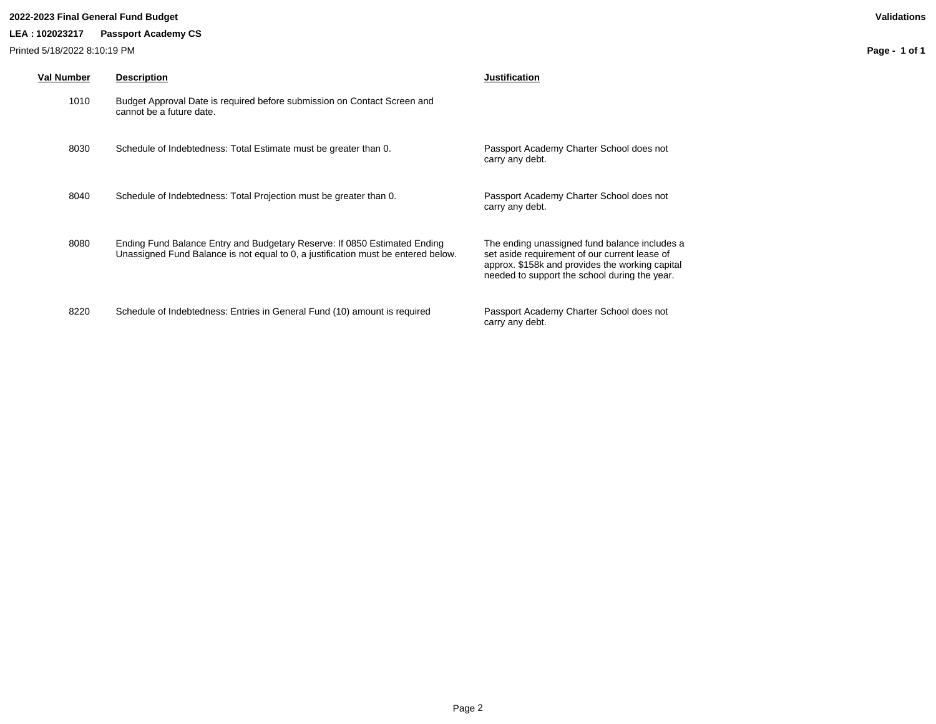# **2022-2023 Final General Fund Budget Validations**

# **LEA : 102023217 Passport Academy CS**

Printed 5/18/2022 8:10:19 PM

| <b>Val Number</b> | <b>Description</b>                                                                                                                                             | <b>Justification</b>                                                                                                                                                                               |
|-------------------|----------------------------------------------------------------------------------------------------------------------------------------------------------------|----------------------------------------------------------------------------------------------------------------------------------------------------------------------------------------------------|
| 1010              | Budget Approval Date is required before submission on Contact Screen and<br>cannot be a future date.                                                           |                                                                                                                                                                                                    |
| 8030              | Schedule of Indebtedness: Total Estimate must be greater than 0.                                                                                               | Passport Academy Charter School does not<br>carry any debt.                                                                                                                                        |
| 8040              | Schedule of Indebtedness: Total Projection must be greater than 0.                                                                                             | Passport Academy Charter School does not<br>carry any debt.                                                                                                                                        |
| 8080              | Ending Fund Balance Entry and Budgetary Reserve: If 0850 Estimated Ending<br>Unassigned Fund Balance is not equal to 0, a justification must be entered below. | The ending unassigned fund balance includes a<br>set aside requirement of our current lease of<br>approx. \$158k and provides the working capital<br>needed to support the school during the year. |
| 8220              | Schedule of Indebtedness: Entries in General Fund (10) amount is required                                                                                      | Passport Academy Charter School does not<br>carry any debt.                                                                                                                                        |

**Page - 1 of 1**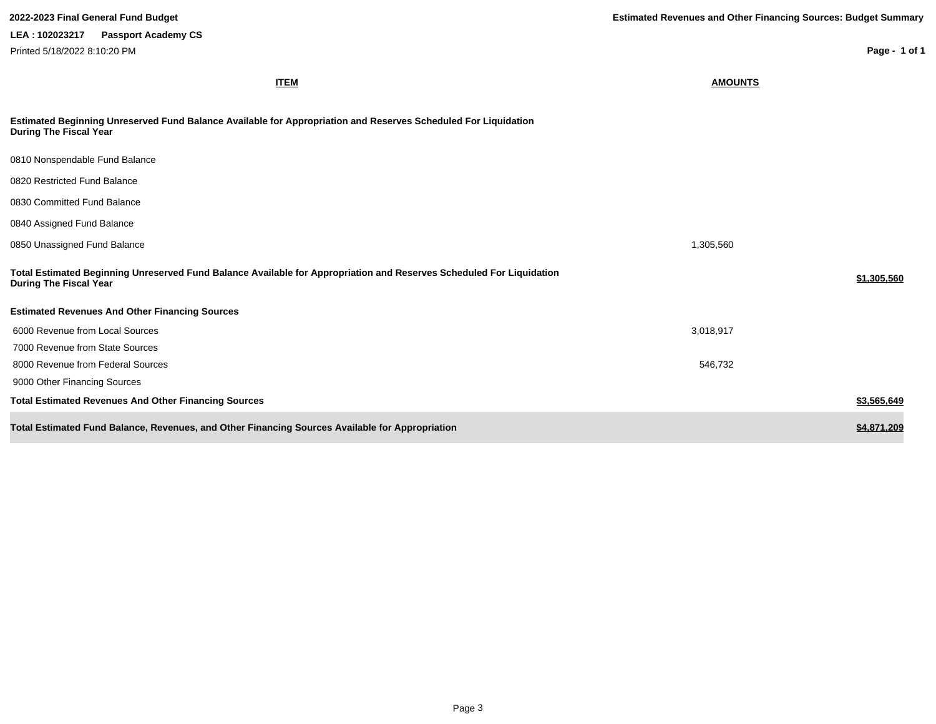**ITEM AMOUNTS Estimated Beginning Unreserved Fund Balance Available for Appropriation and Reserves Scheduled For Liquidation During The Fiscal Year** 0810 Nonspendable Fund Balance 0820 Restricted Fund Balance 0830 Committed Fund Balance 0840 Assigned Fund Balance 0850 Unassigned Fund Balance 1,305,560 Unassigned Fund Balance **Total Estimated Beginning Unreserved Fund Balance Available for Appropriation and Reserves Scheduled For Liquidation During The Fiscal Year \$1,305,560 Estimated Revenues And Other Financing Sources** 6000 Revenue from Local Sources 3,018,917 7000 Revenue from State Sources 8000 Revenue from Federal Sources 546,732 9000 Other Financing Sources **Total Estimated Revenues And Other Financing Sources \$3,565,649 Total Estimated Fund Balance, Revenues, and Other Financing Sources Available for Appropriation \$4,871,209 \$4,871,209 2022-2023 Final General Fund Budget Estimated Revenues and Other Financing Sources: Budget Summary Page - 1 of 1 LEA : 102023217 Passport Academy CS** Printed 5/18/2022 8:10:20 PM

Page 3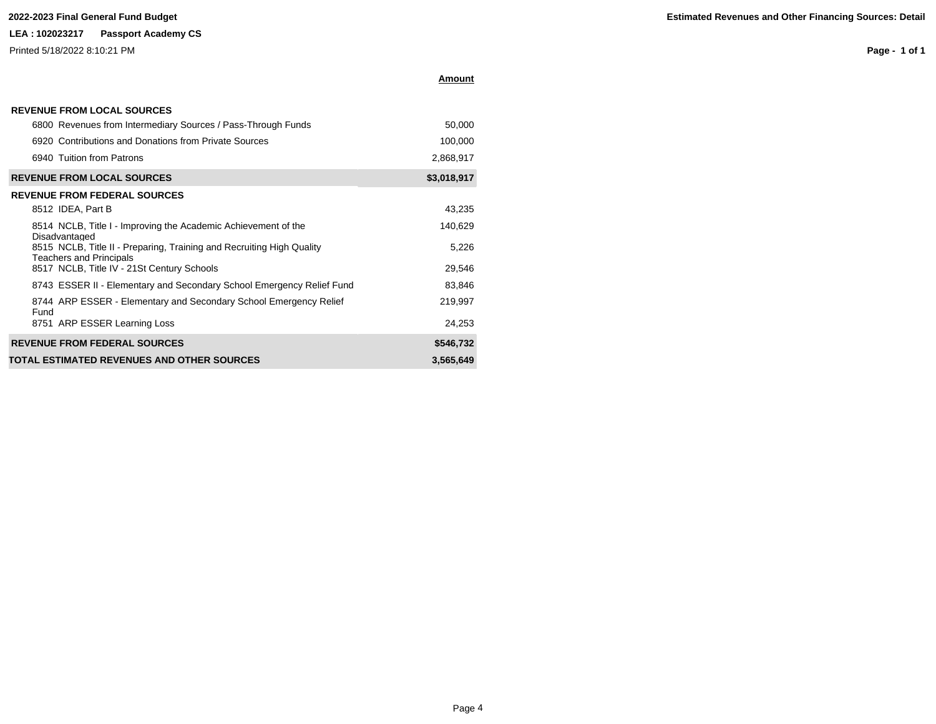### **2022-2023 Final General Fund Budget**

# **LEA : 102023217 Passport Academy CS**

Printed 5/18/2022 8:10:21 PM

| <b>Estimated Revenues and Other Financing Sources: Detail</b> |  |
|---------------------------------------------------------------|--|
|---------------------------------------------------------------|--|

**Page - 1 of 1**

| <b>REVENUE FROM LOCAL SOURCES</b>                                                                       |             |
|---------------------------------------------------------------------------------------------------------|-------------|
| 6800 Revenues from Intermediary Sources / Pass-Through Funds                                            | 50,000      |
| 6920 Contributions and Donations from Private Sources                                                   | 100,000     |
| 6940 Tuition from Patrons                                                                               | 2,868,917   |
| <b>REVENUE FROM LOCAL SOURCES</b>                                                                       | \$3,018,917 |
| <b>REVENUE FROM FEDERAL SOURCES</b>                                                                     |             |
| 8512 IDEA, Part B                                                                                       | 43,235      |
| 8514 NCLB, Title I - Improving the Academic Achievement of the<br>Disadvantaged                         | 140,629     |
| 8515 NCLB, Title II - Preparing, Training and Recruiting High Quality<br><b>Teachers and Principals</b> | 5,226       |
| 8517 NCLB, Title IV - 21St Century Schools                                                              | 29,546      |
| 8743 ESSER II - Elementary and Secondary School Emergency Relief Fund                                   | 83,846      |
| 8744 ARP ESSER - Elementary and Secondary School Emergency Relief<br>Fund                               | 219,997     |
| 8751 ARP ESSER Learning Loss                                                                            | 24,253      |
| <b>REVENUE FROM FEDERAL SOURCES</b>                                                                     | \$546,732   |
| TOTAL ESTIMATED REVENUES AND OTHER SOURCES                                                              | 3,565,649   |

**Amount**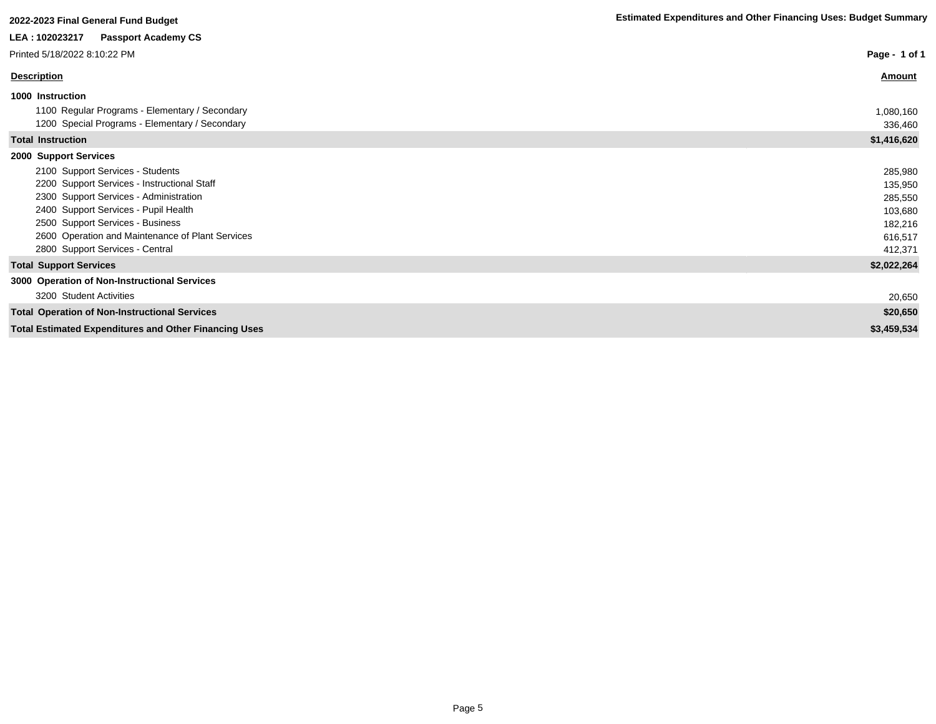| LEA: 102023217 Passport Academy CS                           |               |
|--------------------------------------------------------------|---------------|
| Printed 5/18/2022 8:10:22 PM                                 | Page - 1 of 1 |
| <b>Description</b>                                           | <b>Amount</b> |
| 1000 Instruction                                             |               |
| 1100 Regular Programs - Elementary / Secondary               | 1,080,160     |
| 1200 Special Programs - Elementary / Secondary               | 336,460       |
| <b>Total Instruction</b>                                     | \$1,416,620   |
| 2000 Support Services                                        |               |
| 2100 Support Services - Students                             | 285,980       |
| 2200 Support Services - Instructional Staff                  | 135,950       |
| 2300 Support Services - Administration                       | 285,550       |
| 2400 Support Services - Pupil Health                         | 103,680       |
| 2500 Support Services - Business                             | 182,216       |
| 2600 Operation and Maintenance of Plant Services             | 616,517       |
| 2800 Support Services - Central                              | 412,371       |
| <b>Total Support Services</b>                                | \$2,022,264   |
| 3000 Operation of Non-Instructional Services                 |               |
| 3200 Student Activities                                      | 20,650        |
| <b>Total Operation of Non-Instructional Services</b>         | \$20,650      |
| <b>Total Estimated Expenditures and Other Financing Uses</b> | \$3,459,534   |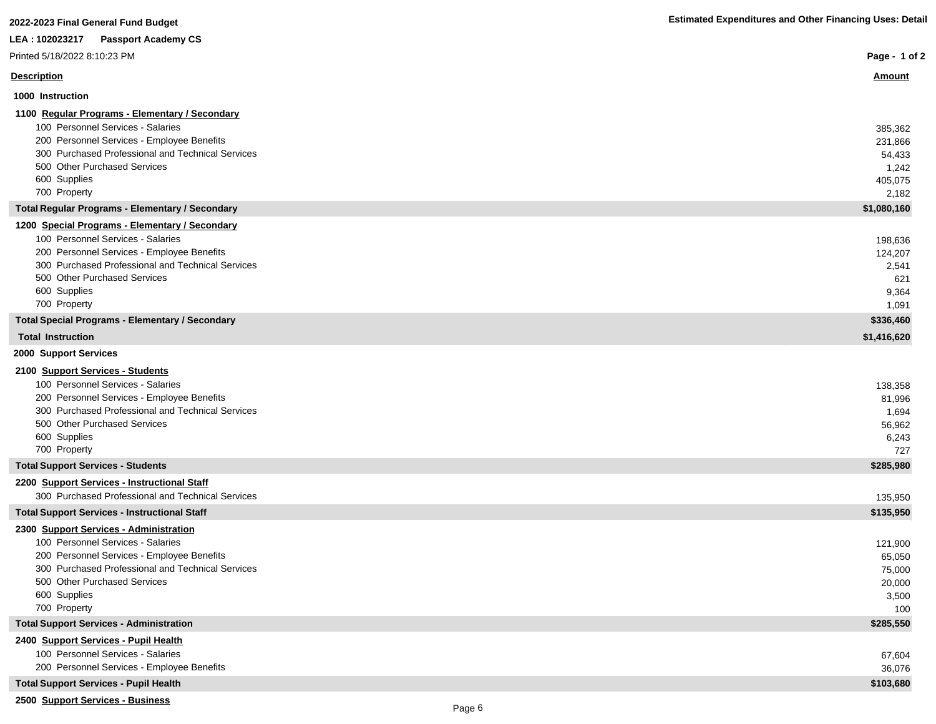| LEA : 102023217<br><b>Passport Academy CS</b>                                                   |                  |
|-------------------------------------------------------------------------------------------------|------------------|
| Printed 5/18/2022 8:10:23 PM                                                                    | Page - 1 of 2    |
| <b>Description</b>                                                                              | <u>Amount</u>    |
| 1000 Instruction                                                                                |                  |
| 1100 Regular Programs - Elementary / Secondary                                                  |                  |
| 100 Personnel Services - Salaries                                                               | 385,362          |
| 200 Personnel Services - Employee Benefits<br>300 Purchased Professional and Technical Services | 231,866          |
| 500 Other Purchased Services                                                                    | 54,433<br>1,242  |
| 600 Supplies                                                                                    | 405,075          |
| 700 Property                                                                                    | 2,182            |
| <b>Total Regular Programs - Elementary / Secondary</b>                                          | \$1,080,160      |
| 1200 Special Programs - Elementary / Secondary                                                  |                  |
| 100 Personnel Services - Salaries                                                               | 198,636          |
| 200 Personnel Services - Employee Benefits                                                      | 124,207          |
| 300 Purchased Professional and Technical Services                                               | 2,541            |
| 500 Other Purchased Services<br>600 Supplies                                                    | 621              |
| 700 Property                                                                                    | 9,364<br>1,091   |
| <b>Total Special Programs - Elementary / Secondary</b>                                          | \$336,460        |
| <b>Total Instruction</b>                                                                        | \$1,416,620      |
| 2000 Support Services                                                                           |                  |
| 2100 Support Services - Students                                                                |                  |
| 100 Personnel Services - Salaries                                                               | 138,358          |
| 200 Personnel Services - Employee Benefits                                                      | 81,996           |
| 300 Purchased Professional and Technical Services                                               | 1,694            |
| 500 Other Purchased Services                                                                    | 56,962           |
| 600 Supplies                                                                                    | 6,243            |
| 700 Property                                                                                    | 727              |
| <b>Total Support Services - Students</b>                                                        | \$285,980        |
| 2200 Support Services - Instructional Staff                                                     |                  |
| 300 Purchased Professional and Technical Services                                               | 135,950          |
| <b>Total Support Services - Instructional Staff</b>                                             | \$135,950        |
| 2300 Support Services - Administration                                                          |                  |
| 100 Personnel Services - Salaries<br>200 Personnel Services - Employee Benefits                 | 121,900          |
| 300 Purchased Professional and Technical Services                                               | 65,050<br>75,000 |
| 500 Other Purchased Services                                                                    | 20,000           |
| 600 Supplies                                                                                    | 3,500            |
| 700 Property                                                                                    | 100              |
| <b>Total Support Services - Administration</b>                                                  | \$285,550        |
| 2400 Support Services - Pupil Health                                                            |                  |
| 100 Personnel Services - Salaries                                                               | 67,604           |
| 200 Personnel Services - Employee Benefits                                                      | 36,076           |
| <b>Total Support Services - Pupil Health</b>                                                    | \$103,680        |
|                                                                                                 |                  |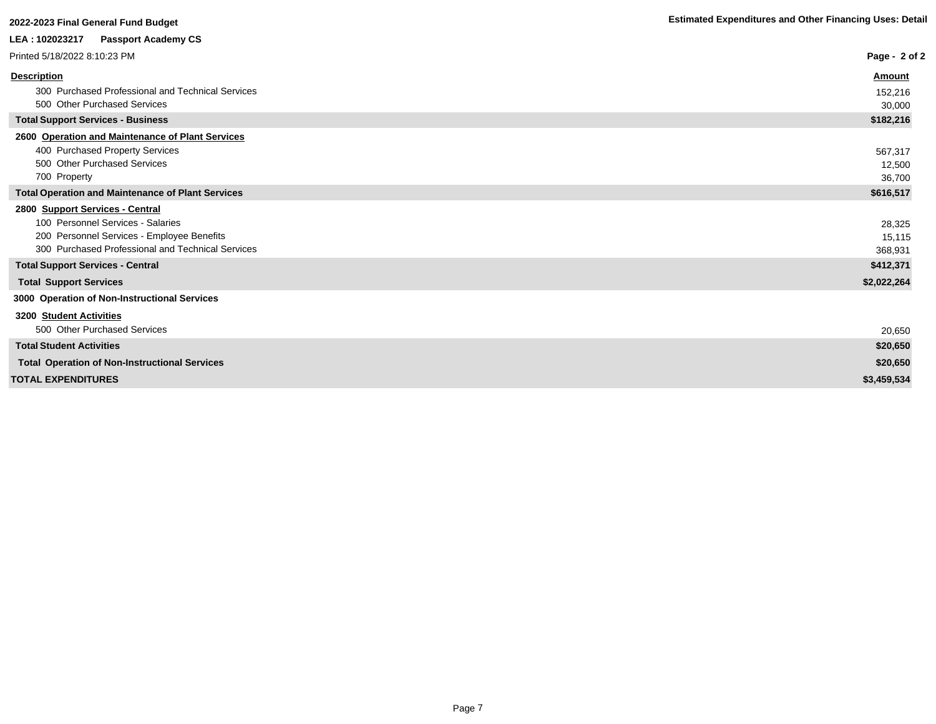| 2022-2023 Final General Fund Budget                                                                                                                                     | <b>Estimated Expenditures and Other Financing Uses: Detail</b> |
|-------------------------------------------------------------------------------------------------------------------------------------------------------------------------|----------------------------------------------------------------|
| LEA : 102023217<br><b>Passport Academy CS</b>                                                                                                                           |                                                                |
| Printed 5/18/2022 8:10:23 PM                                                                                                                                            | Page - $2$ of 2                                                |
| <b>Description</b>                                                                                                                                                      | Amount                                                         |
| 300 Purchased Professional and Technical Services<br>500 Other Purchased Services                                                                                       | 152,216<br>30,000                                              |
| <b>Total Support Services - Business</b>                                                                                                                                | \$182,216                                                      |
| 2600 Operation and Maintenance of Plant Services<br>400 Purchased Property Services<br>500 Other Purchased Services<br>700 Property                                     | 567,317<br>12,500<br>36,700                                    |
| <b>Total Operation and Maintenance of Plant Services</b>                                                                                                                | \$616,517                                                      |
| 2800 Support Services - Central<br>100 Personnel Services - Salaries<br>200 Personnel Services - Employee Benefits<br>300 Purchased Professional and Technical Services | 28,325<br>15,115<br>368,931                                    |
| <b>Total Support Services - Central</b>                                                                                                                                 | \$412,371                                                      |
| <b>Total Support Services</b>                                                                                                                                           | \$2,022,264                                                    |
| 3000 Operation of Non-Instructional Services                                                                                                                            |                                                                |
| <b>3200 Student Activities</b><br>500 Other Purchased Services                                                                                                          | 20,650                                                         |
| <b>Total Student Activities</b>                                                                                                                                         | \$20,650                                                       |
| <b>Total Operation of Non-Instructional Services</b>                                                                                                                    | \$20,650                                                       |
| <b>TOTAL EXPENDITURES</b>                                                                                                                                               | \$3,459,534                                                    |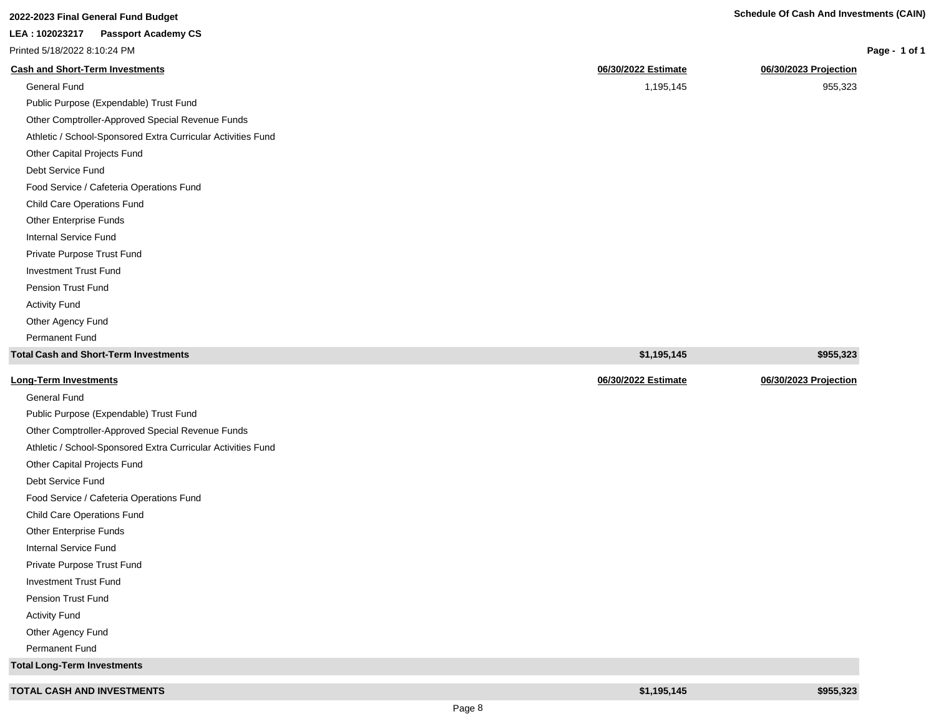| 2022-2023 Final General Fund Budget                          | <b>Schedule Of Cash And Investments (CAIN)</b> |                       |
|--------------------------------------------------------------|------------------------------------------------|-----------------------|
| LEA: 102023217<br><b>Passport Academy CS</b>                 |                                                |                       |
| Printed 5/18/2022 8:10:24 PM                                 |                                                | Page - 1 of 1         |
| <b>Cash and Short-Term Investments</b>                       | 06/30/2022 Estimate                            | 06/30/2023 Projection |
| <b>General Fund</b>                                          | 1,195,145                                      | 955,323               |
| Public Purpose (Expendable) Trust Fund                       |                                                |                       |
| Other Comptroller-Approved Special Revenue Funds             |                                                |                       |
| Athletic / School-Sponsored Extra Curricular Activities Fund |                                                |                       |
| Other Capital Projects Fund                                  |                                                |                       |
| Debt Service Fund                                            |                                                |                       |
| Food Service / Cafeteria Operations Fund                     |                                                |                       |
| Child Care Operations Fund                                   |                                                |                       |
| Other Enterprise Funds                                       |                                                |                       |
| Internal Service Fund                                        |                                                |                       |
| Private Purpose Trust Fund                                   |                                                |                       |
| <b>Investment Trust Fund</b>                                 |                                                |                       |
| <b>Pension Trust Fund</b>                                    |                                                |                       |
| <b>Activity Fund</b>                                         |                                                |                       |
| Other Agency Fund                                            |                                                |                       |
| <b>Permanent Fund</b>                                        |                                                |                       |
| <b>Total Cash and Short-Term Investments</b>                 | \$1,195,145                                    | \$955,323             |
| <b>Long-Term Investments</b>                                 | 06/30/2022 Estimate                            | 06/30/2023 Projection |
| <b>General Fund</b>                                          |                                                |                       |
| Public Purpose (Expendable) Trust Fund                       |                                                |                       |
| Other Comptroller-Approved Special Revenue Funds             |                                                |                       |
| Athletic / School-Sponsored Extra Curricular Activities Fund |                                                |                       |
| Other Capital Projects Fund                                  |                                                |                       |
| Debt Service Fund                                            |                                                |                       |
| Food Service / Cafeteria Operations Fund                     |                                                |                       |
| Child Care Operations Fund                                   |                                                |                       |
| Other Enterprise Funds                                       |                                                |                       |
| Internal Service Fund                                        |                                                |                       |
| Private Purpose Trust Fund                                   |                                                |                       |

| <b>TOTAL CASH AND INVESTMENTS</b> | \$1.195.145 | \$955.323 |
|-----------------------------------|-------------|-----------|

Investment Trust Fund Pension Trust Fund Activity Fund Other Agency Fund Permanent Fund **Total Long-Term Investments** **1 of 1**